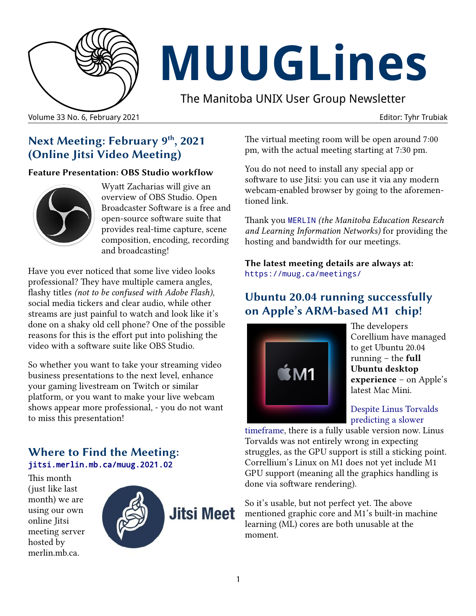

# **MUUGLines**

The Manitoba UNIX User Group Newsletter

Volume 33 No. 6, February 2021 Editor: Tyhr Trubiak

# **Next Meeting: February 9th, 2021 (Online Jitsi Video Meeting)**

#### **Feature Presentation: OBS Studio workflow**



Wyatt Zacharias will give an overview of OBS Studio. Open Broadcaster Software is a free and open-source software suite that provides real-time capture, scene composition, encoding, recording and broadcasting!

Have you ever noticed that some live video looks professional? They have multiple camera angles, flashy titles *(not to be confused with Adobe Flash)*, social media tickers and clear audio, while other streams are just painful to watch and look like it's done on a shaky old cell phone? One of the possible reasons for this is the effort put into polishing the video with a software suite like OBS Studio.

So whether you want to take your streaming video business presentations to the next level, enhance your gaming livestream on Twitch or similar platform, or you want to make your live webcam shows appear more professional, - you do not want to miss this presentation!

#### **Where to Find the Meeting:** [jitsi.merlin.mb.ca/muug.2021.02](https://jitsi.merlin.mb.ca/muug.2021.02)

This month (just like last month) we are using our own online Jitsi meeting server hosted by merlin.mb.ca.



The virtual meeting room will be open around 7:00 pm, with the actual meeting starting at 7:30 pm.

You do not need to install any special app or software to use Jitsi: you can use it via any modern webcam-enabled browser by going to the aforementioned link.

Thank you [MERLIN](https://merlin.mb.ca/) *(the Manitoba Education Research and Learning Information Networks)* for providing the hosting and bandwidth for our meetings.

**The latest meeting details are always at:** <https://muug.ca/meetings/>

# **Ubuntu 20.04 running successfully on Apple's ARM-based M1 chip!**



The developers Corellium have managed to get Ubuntu 20.04 running – the **full Ubuntu desktop experience** – on Apple's latest Mac Mini.

#### [Despite Linus Torvalds](https://muug.ca/pub/muuglines/pdf/muug2101.pdf)  [predicting a slower](https://muug.ca/pub/muuglines/pdf/muug2101.pdf)

[timeframe,](https://muug.ca/pub/muuglines/pdf/muug2101.pdf) there is a fully usable version now. Linus Torvalds was not entirely wrong in expecting struggles, as the GPU support is still a sticking point. Correllium's Linux on M1 does not yet include M1 GPU support (meaning all the graphics handling is done via software rendering).

So it's usable, but not perfect yet. The above mentioned graphic core and M1's built-in machine learning (ML) cores are both unusable at the moment.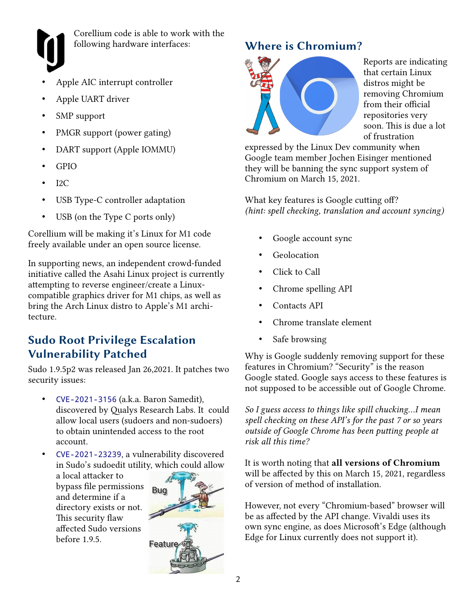

Corellium code is able to work with the following hardware interfaces:

- Apple AIC interrupt controller
- Apple UART driver
- SMP support
- PMGR support (power gating)
- DART support (Apple IOMMU)
- GPIO
- $I2C$
- USB Type-C controller adaptation
- USB (on the Type C ports only)

Corellium will be making it's Linux for M1 code freely available under an open source license.

In supporting news, an independent crowd-funded initiative called the Asahi Linux project is currently attempting to reverse engineer/create a Linuxcompatible graphics driver for M1 chips, as well as bring the Arch Linux distro to Apple's M1 architecture.

## **Sudo Root Privilege Escalation Vulnerability Patched**

Sudo 1.9.5p2 was released Jan 26,2021. It patches two security issues:

- [CVE-2021-3156](https://cve.mitre.org/cgi-bin/cvename.cgi?name=2021-3156) (a.k.a. Baron Samedit), discovered by Qualys Research Labs. It could allow local users (sudoers and non-sudoers) to obtain unintended access to the root account.
- [CVE-2021-23239](https://cve.mitre.org/cgi-bin/cvename.cgi?name=CVE-2021-23239), a vulnerability discovered in Sudo's sudoedit utility, which could allow

a local attacker to bypass file permissions and determine if a directory exists or not. This security flaw affected Sudo versions before 1.9.5.



# **Where is Chromium?**



Reports are indicating that certain Linux distros might be removing Chromium from their official repositories very soon. This is due a lot of frustration

expressed by the Linux Dev community when Google team member Jochen Eisinger mentioned they will be banning the sync support system of Chromium on March 15, 2021.

What key features is Google cutting off? *(hint: spell checking, translation and account syncing)*

- Google account sync
- **Geolocation**
- Click to Call
- Chrome spelling API
- Contacts API
- Chrome translate element
- Safe browsing

Why is Google suddenly removing support for these features in Chromium? "Security" is the reason Google stated. Google says access to these features is not supposed to be accessible out of Google Chrome.

*So I guess access to things like spill chucking...I mean spell checking on these API's for the past 7 or so years outside of Google Chrome has been putting people at risk all this time?*

It is worth noting that **all versions of Chromium** will be affected by this on March 15, 2021, regardless of version of method of installation.

However, not every "Chromium-based" browser will be as affected by the API change. Vivaldi uses its own sync engine, as does Microsoft's Edge (although Edge for Linux currently does not support it).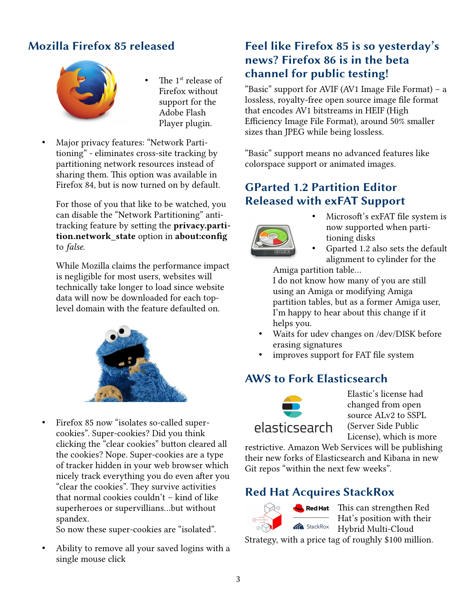# **Mozilla Firefox 85 released**



- The 1<sup>st</sup> release of Firefox without support for the Adobe Flash Player plugin.
- Major privacy features: "Network Partitioning" - eliminates cross-site tracking by partitioning network resources instead of sharing them. This option was available in Firefox 84, but is now turned on by default.

For those of you that like to be watched, you can disable the "Network Partitioning" antitracking feature by setting the **privacy.partition.network\_state** option in **about:config** to *false*.

While Mozilla claims the performance impact is negligible for most users, websites will technically take longer to load since website data will now be downloaded for each toplevel domain with the feature defaulted on.



• Firefox 85 now "isolates so-called supercookies". Super-cookies? Did you think clicking the "clear cookies" button cleared all the cookies? Nope. Super-cookies are a type of tracker hidden in your web browser which nicely track everything you do even after you "clear the cookies". They survive activities that normal cookies couldn't – kind of like superheroes or supervillians...but without spandex.

So now these super-cookies are "isolated".

• Ability to remove all your saved logins with a single mouse click

### **Feel like Firefox 85 is so yesterday's news? Firefox 86 is in the beta channel for public testing!**

"Basic" support for AVIF (AV1 Image File Format) – a lossless, royalty-free open source image file format that encodes AV1 bitstreams in HEIF (High Efficiency Image File Format), around 50% smaller sizes than JPEG while being lossless.

"Basic" support means no advanced features like colorspace support or animated images.

#### **GParted 1.2 Partition Editor Released with exFAT Support**



- Microsoft's exFAT file system is now supported when partitioning disks
- Gparted 1.2 also sets the default alignment to cylinder for the

Amiga partition table...

I do not know how many of you are still using an Amiga or modifying Amiga partition tables, but as a former Amiga user, I'm happy to hear about this change if it helps you.

- Waits for udev changes on /dev/DISK before erasing signatures
- improves support for FAT file system

#### **AWS to Fork Elasticsearch**



Elastic's license had changed from open source ALv2 to SSPL (Server Side Public License), which is more

restrictive. Amazon Web Services will be publishing their new forks of Elasticsearch and Kibana in new Git repos "within the next few weeks".

#### **Red Hat Acquires StackRox**



Red Hat This can strengthen Red Hat's position with their **Kanadia StackRox** Hybrid Multi-Cloud

Strategy, with a price tag of roughly \$100 million.